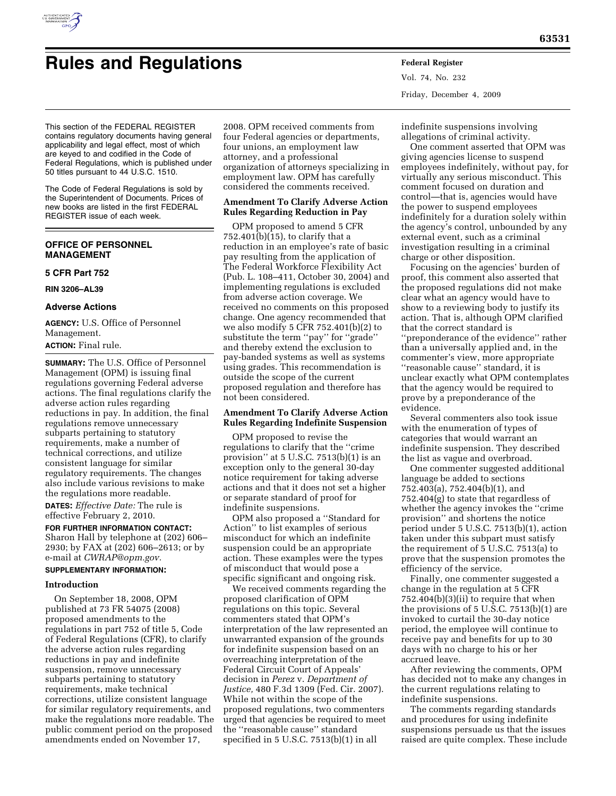

# **Rules and Regulations Federal Register**

Vol. 74, No. 232 Friday, December 4, 2009

This section of the FEDERAL REGISTER contains regulatory documents having general applicability and legal effect, most of which are keyed to and codified in the Code of Federal Regulations, which is published under 50 titles pursuant to 44 U.S.C. 1510.

The Code of Federal Regulations is sold by the Superintendent of Documents. Prices of new books are listed in the first FEDERAL REGISTER issue of each week.

# **OFFICE OF PERSONNEL MANAGEMENT**

# **5 CFR Part 752**

**RIN 3206–AL39** 

# **Adverse Actions**

**AGENCY:** U.S. Office of Personnel Management.

# **ACTION:** Final rule.

**SUMMARY:** The U.S. Office of Personnel Management (OPM) is issuing final regulations governing Federal adverse actions. The final regulations clarify the adverse action rules regarding reductions in pay. In addition, the final regulations remove unnecessary subparts pertaining to statutory requirements, make a number of technical corrections, and utilize consistent language for similar regulatory requirements. The changes also include various revisions to make the regulations more readable.

**DATES:** *Effective Date:* The rule is effective February 2, 2010.

# **FOR FURTHER INFORMATION CONTACT:**

Sharon Hall by telephone at (202) 606– 2930; by FAX at (202) 606–2613; or by e-mail at *CWRAP@opm.gov.* 

# **SUPPLEMENTARY INFORMATION:**

### **Introduction**

On September 18, 2008, OPM published at 73 FR 54075 (2008) proposed amendments to the regulations in part 752 of title 5, Code of Federal Regulations (CFR), to clarify the adverse action rules regarding reductions in pay and indefinite suspension, remove unnecessary subparts pertaining to statutory requirements, make technical corrections, utilize consistent language for similar regulatory requirements, and make the regulations more readable. The public comment period on the proposed amendments ended on November 17,

2008. OPM received comments from four Federal agencies or departments, four unions, an employment law attorney, and a professional organization of attorneys specializing in employment law. OPM has carefully considered the comments received.

# **Amendment To Clarify Adverse Action Rules Regarding Reduction in Pay**

OPM proposed to amend 5 CFR 752.401(b)(15), to clarify that a reduction in an employee's rate of basic pay resulting from the application of The Federal Workforce Flexibility Act (Pub. L. 108–411, October 30, 2004) and implementing regulations is excluded from adverse action coverage. We received no comments on this proposed change. One agency recommended that we also modify 5 CFR 752.401(b)(2) to substitute the term ''pay'' for ''grade'' and thereby extend the exclusion to pay-banded systems as well as systems using grades. This recommendation is outside the scope of the current proposed regulation and therefore has not been considered.

# **Amendment To Clarify Adverse Action Rules Regarding Indefinite Suspension**

OPM proposed to revise the regulations to clarify that the ''crime provision'' at 5 U.S.C. 7513(b)(1) is an exception only to the general 30-day notice requirement for taking adverse actions and that it does not set a higher or separate standard of proof for indefinite suspensions.

OPM also proposed a ''Standard for Action'' to list examples of serious misconduct for which an indefinite suspension could be an appropriate action. These examples were the types of misconduct that would pose a specific significant and ongoing risk.

We received comments regarding the proposed clarification of OPM regulations on this topic. Several commenters stated that OPM's interpretation of the law represented an unwarranted expansion of the grounds for indefinite suspension based on an overreaching interpretation of the Federal Circuit Court of Appeals' decision in *Perez* v. *Department of Justice,* 480 F.3d 1309 (Fed. Cir. 2007). While not within the scope of the proposed regulations, two commenters urged that agencies be required to meet the ''reasonable cause'' standard specified in 5 U.S.C. 7513(b)(1) in all

indefinite suspensions involving allegations of criminal activity.

One comment asserted that OPM was giving agencies license to suspend employees indefinitely, without pay, for virtually any serious misconduct. This comment focused on duration and control—that is, agencies would have the power to suspend employees indefinitely for a duration solely within the agency's control, unbounded by any external event, such as a criminal investigation resulting in a criminal charge or other disposition.

Focusing on the agencies' burden of proof, this comment also asserted that the proposed regulations did not make clear what an agency would have to show to a reviewing body to justify its action. That is, although OPM clarified that the correct standard is ''preponderance of the evidence'' rather than a universally applied and, in the commenter's view, more appropriate ''reasonable cause'' standard, it is unclear exactly what OPM contemplates that the agency would be required to prove by a preponderance of the evidence.

Several commenters also took issue with the enumeration of types of categories that would warrant an indefinite suspension. They described the list as vague and overbroad.

One commenter suggested additional language be added to sections 752.403(a), 752.404(b)(1), and 752.404(g) to state that regardless of whether the agency invokes the ''crime provision'' and shortens the notice period under 5 U.S.C. 7513(b)(1), action taken under this subpart must satisfy the requirement of 5 U.S.C. 7513(a) to prove that the suspension promotes the efficiency of the service.

Finally, one commenter suggested a change in the regulation at 5 CFR 752.404(b)(3)(ii) to require that when the provisions of 5 U.S.C. 7513(b)(1) are invoked to curtail the 30-day notice period, the employee will continue to receive pay and benefits for up to 30 days with no charge to his or her accrued leave.

After reviewing the comments, OPM has decided not to make any changes in the current regulations relating to indefinite suspensions.

The comments regarding standards and procedures for using indefinite suspensions persuade us that the issues raised are quite complex. These include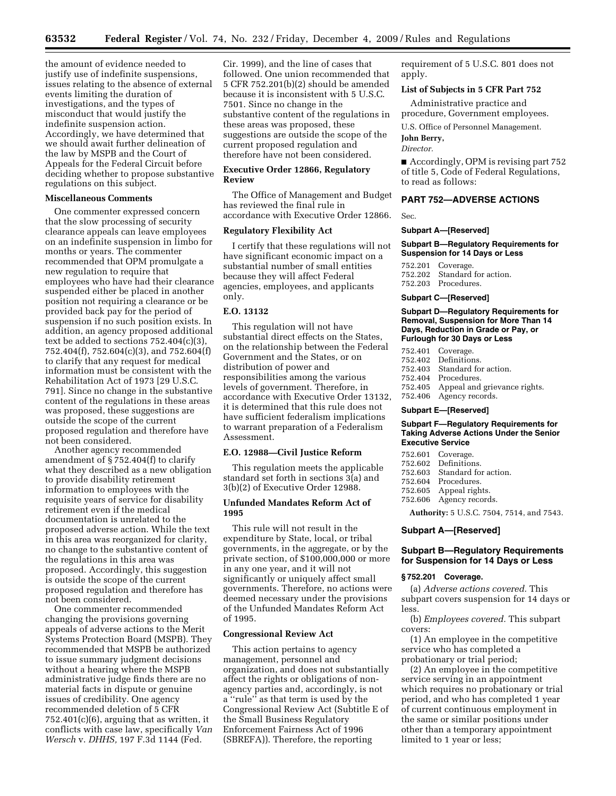the amount of evidence needed to justify use of indefinite suspensions, issues relating to the absence of external events limiting the duration of investigations, and the types of misconduct that would justify the indefinite suspension action. Accordingly, we have determined that we should await further delineation of the law by MSPB and the Court of Appeals for the Federal Circuit before deciding whether to propose substantive regulations on this subject.

# **Miscellaneous Comments**

One commenter expressed concern that the slow processing of security clearance appeals can leave employees on an indefinite suspension in limbo for months or years. The commenter recommended that OPM promulgate a new regulation to require that employees who have had their clearance suspended either be placed in another position not requiring a clearance or be provided back pay for the period of suspension if no such position exists. In addition, an agency proposed additional text be added to sections 752.404(c)(3), 752.404(f), 752.604(c)(3), and 752.604(f) to clarify that any request for medical information must be consistent with the Rehabilitation Act of 1973 [29 U.S.C. 791]. Since no change in the substantive content of the regulations in these areas was proposed, these suggestions are outside the scope of the current proposed regulation and therefore have not been considered.

Another agency recommended amendment of § 752.404(f) to clarify what they described as a new obligation to provide disability retirement information to employees with the requisite years of service for disability retirement even if the medical documentation is unrelated to the proposed adverse action. While the text in this area was reorganized for clarity, no change to the substantive content of the regulations in this area was proposed. Accordingly, this suggestion is outside the scope of the current proposed regulation and therefore has not been considered.

One commenter recommended changing the provisions governing appeals of adverse actions to the Merit Systems Protection Board (MSPB). They recommended that MSPB be authorized to issue summary judgment decisions without a hearing where the MSPB administrative judge finds there are no material facts in dispute or genuine issues of credibility. One agency recommended deletion of 5 CFR  $752.401(c)(6)$ , arguing that as written, it conflicts with case law, specifically *Van Wersch* v. *DHHS,* 197 F.3d 1144 (Fed.

Cir. 1999), and the line of cases that followed. One union recommended that 5 CFR 752.201(b)(2) should be amended because it is inconsistent with 5 U.S.C. 7501. Since no change in the substantive content of the regulations in these areas was proposed, these suggestions are outside the scope of the current proposed regulation and therefore have not been considered.

# **Executive Order 12866, Regulatory Review**

The Office of Management and Budget has reviewed the final rule in accordance with Executive Order 12866.

# **Regulatory Flexibility Act**

I certify that these regulations will not have significant economic impact on a substantial number of small entities because they will affect Federal agencies, employees, and applicants only.

# **E.O. 13132**

This regulation will not have substantial direct effects on the States, on the relationship between the Federal Government and the States, or on distribution of power and responsibilities among the various levels of government. Therefore, in accordance with Executive Order 13132, it is determined that this rule does not have sufficient federalism implications to warrant preparation of a Federalism Assessment.

#### **E.O. 12988—Civil Justice Reform**

This regulation meets the applicable standard set forth in sections 3(a) and 3(b)(2) of Executive Order 12988.

# **Unfunded Mandates Reform Act of 1995**

This rule will not result in the expenditure by State, local, or tribal governments, in the aggregate, or by the private section, of \$100,000,000 or more in any one year, and it will not significantly or uniquely affect small governments. Therefore, no actions were deemed necessary under the provisions of the Unfunded Mandates Reform Act of 1995.

#### **Congressional Review Act**

This action pertains to agency management, personnel and organization, and does not substantially affect the rights or obligations of nonagency parties and, accordingly, is not a ''rule'' as that term is used by the Congressional Review Act (Subtitle E of the Small Business Regulatory Enforcement Fairness Act of 1996 (SBREFA)). Therefore, the reporting

requirement of 5 U.S.C. 801 does not apply.

#### **List of Subjects in 5 CFR Part 752**

Administrative practice and procedure, Government employees.

U.S. Office of Personnel Management.

#### **John Berry,**  *Director.*

■ Accordingly, OPM is revising part 752 of title 5, Code of Federal Regulations, to read as follows:

### **PART 752—ADVERSE ACTIONS**

Sec.

#### **Subpart A—[Reserved]**

**Subpart B—Regulatory Requirements for Suspension for 14 Days or Less** 

752.201 Coverage. 752.202 Standard for action. 752.203 Procedures.

#### **Subpart C—[Reserved]**

**Subpart D—Regulatory Requirements for Removal, Suspension for More Than 14 Days, Reduction in Grade or Pay, or Furlough for 30 Days or Less** 

752.401 Coverage.<br>752.402 Definition 752.402 Definitions.<br>752.403 Standard fo 752.403 Standard for action.<br>752.404 Procedures 752.404 Procedures. Appeal and grievance rights. 752.406 Agency records.

#### **Subpart E—[Reserved]**

#### **Subpart F—Regulatory Requirements for Taking Adverse Actions Under the Senior Executive Service**

| 752.601 Coverage.            |  |
|------------------------------|--|
| 752.602 Definitions.         |  |
| 752.603 Standard for action. |  |
| 752.604 Procedures.          |  |
| 752.605 Appeal rights.       |  |
| 752.606 Agency records.      |  |
|                              |  |

**Authority:** 5 U.S.C. 7504, 7514, and 7543.

# **Subpart A—[Reserved]**

#### **Subpart B—Regulatory Requirements for Suspension for 14 Days or Less**

#### **§ 752.201 Coverage.**

(a) *Adverse actions covered.* This subpart covers suspension for 14 days or less.

(b) *Employees covered.* This subpart covers:

(1) An employee in the competitive service who has completed a probationary or trial period;

(2) An employee in the competitive service serving in an appointment which requires no probationary or trial period, and who has completed 1 year of current continuous employment in the same or similar positions under other than a temporary appointment limited to 1 year or less;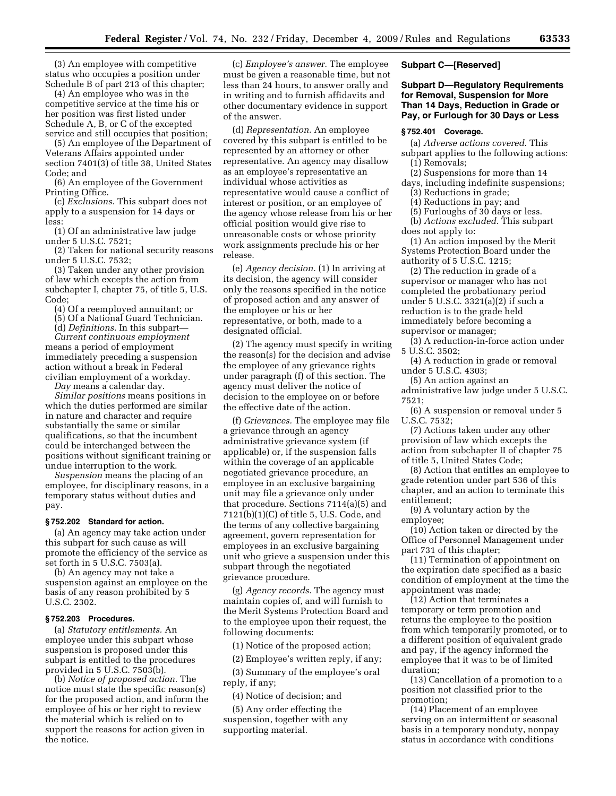(3) An employee with competitive status who occupies a position under Schedule B of part 213 of this chapter;

(4) An employee who was in the competitive service at the time his or her position was first listed under Schedule A, B, or C of the excepted service and still occupies that position;

(5) An employee of the Department of Veterans Affairs appointed under section 7401(3) of title 38, United States Code; and

(6) An employee of the Government Printing Office.

(c) *Exclusions.* This subpart does not apply to a suspension for 14 days or less:

(1) Of an administrative law judge under 5 U.S.C. 7521;

(2) Taken for national security reasons under 5 U.S.C. 7532;

(3) Taken under any other provision of law which excepts the action from subchapter I, chapter 75, of title 5, U.S. Code;

(4) Of a reemployed annuitant; or

(5) Of a National Guard Technician.

(d) *Definitions.* In this subpart—

*Current continuous employment*  means a period of employment immediately preceding a suspension action without a break in Federal civilian employment of a workday.

*Day* means a calendar day.

*Similar positions* means positions in which the duties performed are similar in nature and character and require substantially the same or similar qualifications, so that the incumbent could be interchanged between the positions without significant training or undue interruption to the work.

*Suspension* means the placing of an employee, for disciplinary reasons, in a temporary status without duties and pay.

#### **§ 752.202 Standard for action.**

(a) An agency may take action under this subpart for such cause as will promote the efficiency of the service as set forth in 5 U.S.C. 7503(a).

(b) An agency may not take a suspension against an employee on the basis of any reason prohibited by 5 U.S.C. 2302.

#### **§ 752.203 Procedures.**

(a) *Statutory entitlements.* An employee under this subpart whose suspension is proposed under this subpart is entitled to the procedures provided in 5 U.S.C. 7503(b).

(b) *Notice of proposed action.* The notice must state the specific reason(s) for the proposed action, and inform the employee of his or her right to review the material which is relied on to support the reasons for action given in the notice.

(c) *Employee's answer.* The employee must be given a reasonable time, but not less than 24 hours, to answer orally and in writing and to furnish affidavits and other documentary evidence in support of the answer.

(d) *Representation.* An employee covered by this subpart is entitled to be represented by an attorney or other representative. An agency may disallow as an employee's representative an individual whose activities as representative would cause a conflict of interest or position, or an employee of the agency whose release from his or her official position would give rise to unreasonable costs or whose priority work assignments preclude his or her release.

(e) *Agency decision.* (1) In arriving at its decision, the agency will consider only the reasons specified in the notice of proposed action and any answer of the employee or his or her representative, or both, made to a designated official.

(2) The agency must specify in writing the reason(s) for the decision and advise the employee of any grievance rights under paragraph (f) of this section. The agency must deliver the notice of decision to the employee on or before the effective date of the action.

(f) *Grievances.* The employee may file a grievance through an agency administrative grievance system (if applicable) or, if the suspension falls within the coverage of an applicable negotiated grievance procedure, an employee in an exclusive bargaining unit may file a grievance only under that procedure. Sections 7114(a)(5) and 7121(b)(1)(C) of title 5, U.S. Code, and the terms of any collective bargaining agreement, govern representation for employees in an exclusive bargaining unit who grieve a suspension under this subpart through the negotiated grievance procedure.

(g) *Agency records.* The agency must maintain copies of, and will furnish to the Merit Systems Protection Board and to the employee upon their request, the following documents:

(1) Notice of the proposed action;

(2) Employee's written reply, if any;

(3) Summary of the employee's oral reply, if any;

(4) Notice of decision; and

(5) Any order effecting the suspension, together with any supporting material.

#### **Subpart C—[Reserved]**

# **Subpart D—Regulatory Requirements for Removal, Suspension for More Than 14 Days, Reduction in Grade or Pay, or Furlough for 30 Days or Less**

# **§ 752.401 Coverage.**

- (a) *Adverse actions covered.* This subpart applies to the following actions: (1) Removals;
- (2) Suspensions for more than 14
- days, including indefinite suspensions; (3) Reductions in grade;

(4) Reductions in pay; and

(5) Furloughs of 30 days or less.

(b) *Actions excluded.* This subpart does not apply to:

(1) An action imposed by the Merit Systems Protection Board under the authority of 5 U.S.C. 1215;

(2) The reduction in grade of a supervisor or manager who has not completed the probationary period under 5 U.S.C. 3321(a)(2) if such a reduction is to the grade held immediately before becoming a supervisor or manager;

(3) A reduction-in-force action under 5 U.S.C. 3502;

(4) A reduction in grade or removal under 5 U.S.C. 4303;

(5) An action against an administrative law judge under 5 U.S.C. 7521;

(6) A suspension or removal under 5 U.S.C. 7532;

(7) Actions taken under any other provision of law which excepts the action from subchapter II of chapter 75 of title 5, United States Code;

(8) Action that entitles an employee to grade retention under part 536 of this chapter, and an action to terminate this entitlement;

(9) A voluntary action by the employee;

(10) Action taken or directed by the Office of Personnel Management under part 731 of this chapter;

(11) Termination of appointment on the expiration date specified as a basic condition of employment at the time the appointment was made;

(12) Action that terminates a temporary or term promotion and returns the employee to the position from which temporarily promoted, or to a different position of equivalent grade and pay, if the agency informed the employee that it was to be of limited duration;

(13) Cancellation of a promotion to a position not classified prior to the promotion;

(14) Placement of an employee serving on an intermittent or seasonal basis in a temporary nonduty, nonpay status in accordance with conditions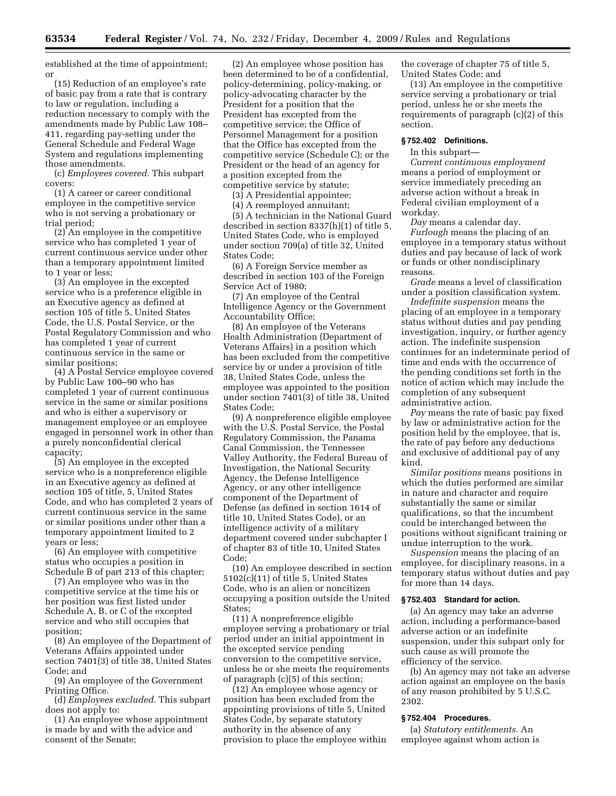established at the time of appointment; or

(15) Reduction of an employee's rate of basic pay from a rate that is contrary to law or regulation, including a reduction necessary to comply with the amendments made by Public Law 108– 411, regarding pay-setting under the General Schedule and Federal Wage System and regulations implementing those amendments.

(c) *Employees covered.* This subpart covers:

(1) A career or career conditional employee in the competitive service who is not serving a probationary or trial period;

(2) An employee in the competitive service who has completed 1 year of current continuous service under other than a temporary appointment limited to 1 year or less;

(3) An employee in the excepted service who is a preference eligible in an Executive agency as defined at section 105 of title 5, United States Code, the U.S. Postal Service, or the Postal Regulatory Commission and who has completed 1 year of current continuous service in the same or similar positions;

(4) A Postal Service employee covered by Public Law 100–90 who has completed 1 year of current continuous service in the same or similar positions and who is either a supervisory or management employee or an employee engaged in personnel work in other than a purely nonconfidential clerical capacity;

(5) An employee in the excepted service who is a nonpreference eligible in an Executive agency as defined at section 105 of title, 5, United States Code, and who has completed 2 years of current continuous service in the same or similar positions under other than a temporary appointment limited to 2 years or less;

(6) An employee with competitive status who occupies a position in Schedule B of part 213 of this chapter;

(7) An employee who was in the competitive service at the time his or her position was first listed under Schedule A, B, or C of the excepted service and who still occupies that position;

(8) An employee of the Department of Veterans Affairs appointed under section 7401(3) of title 38, United States Code; and

(9) An employee of the Government Printing Office.

(d) *Employees excluded.* This subpart does not apply to:

(1) An employee whose appointment is made by and with the advice and consent of the Senate;

(2) An employee whose position has been determined to be of a confidential, policy-determining, policy-making, or policy-advocating character by the President for a position that the President has excepted from the competitive service; the Office of Personnel Management for a position that the Office has excepted from the competitive service (Schedule C); or the President or the head of an agency for a position excepted from the competitive service by statute;

(3) A Presidential appointee;

(4) A reemployed annuitant;

(5) A technician in the National Guard described in section 8337(h)(1) of title 5, United States Code, who is employed under section 709(a) of title 32, United States Code;

(6) A Foreign Service member as described in section 103 of the Foreign Service Act of 1980;

(7) An employee of the Central Intelligence Agency or the Government Accountability Office;

(8) An employee of the Veterans Health Administration (Department of Veterans Affairs) in a position which has been excluded from the competitive service by or under a provision of title 38, United States Code, unless the employee was appointed to the position under section 7401(3) of title 38, United States Code;

(9) A nonpreference eligible employee with the U.S. Postal Service, the Postal Regulatory Commission, the Panama Canal Commission, the Tennessee Valley Authority, the Federal Bureau of Investigation, the National Security Agency, the Defense Intelligence Agency, or any other intelligence component of the Department of Defense (as defined in section 1614 of title 10, United States Code), or an intelligence activity of a military department covered under subchapter I of chapter 83 of title 10, United States Code;

(10) An employee described in section 5102(c)(11) of title 5, United States Code, who is an alien or noncitizen occupying a position outside the United States;

(11) A nonpreference eligible employee serving a probationary or trial period under an initial appointment in the excepted service pending conversion to the competitive service, unless he or she meets the requirements of paragraph (c)(5) of this section;

(12) An employee whose agency or position has been excluded from the appointing provisions of title 5, United States Code, by separate statutory authority in the absence of any provision to place the employee within the coverage of chapter 75 of title 5, United States Code; and

(13) An employee in the competitive service serving a probationary or trial period, unless he or she meets the requirements of paragraph (c)(2) of this section.

### **§ 752.402 Definitions.**

In this subpart—

*Current continuous employment*  means a period of employment or service immediately preceding an adverse action without a break in Federal civilian employment of a workday.

*Day* means a calendar day. *Furlough* means the placing of an employee in a temporary status without duties and pay because of lack of work or funds or other nondisciplinary reasons.

*Grade* means a level of classification under a position classification system.

*Indefinite suspension* means the placing of an employee in a temporary status without duties and pay pending investigation, inquiry, or further agency action. The indefinite suspension continues for an indeterminate period of time and ends with the occurrence of the pending conditions set forth in the notice of action which may include the completion of any subsequent administrative action.

*Pay* means the rate of basic pay fixed by law or administrative action for the position held by the employee, that is, the rate of pay before any deductions and exclusive of additional pay of any kind.

*Similar positions* means positions in which the duties performed are similar in nature and character and require substantially the same or similar qualifications, so that the incumbent could be interchanged between the positions without significant training or undue interruption to the work.

*Suspension* means the placing of an employee, for disciplinary reasons, in a temporary status without duties and pay for more than 14 days.

# **§ 752.403 Standard for action.**

(a) An agency may take an adverse action, including a performance-based adverse action or an indefinite suspension, under this subpart only for such cause as will promote the efficiency of the service.

(b) An agency may not take an adverse action against an employee on the basis of any reason prohibited by 5 U.S.C. 2302.

# **§ 752.404 Procedures.**

(a) *Statutory entitlements.* An employee against whom action is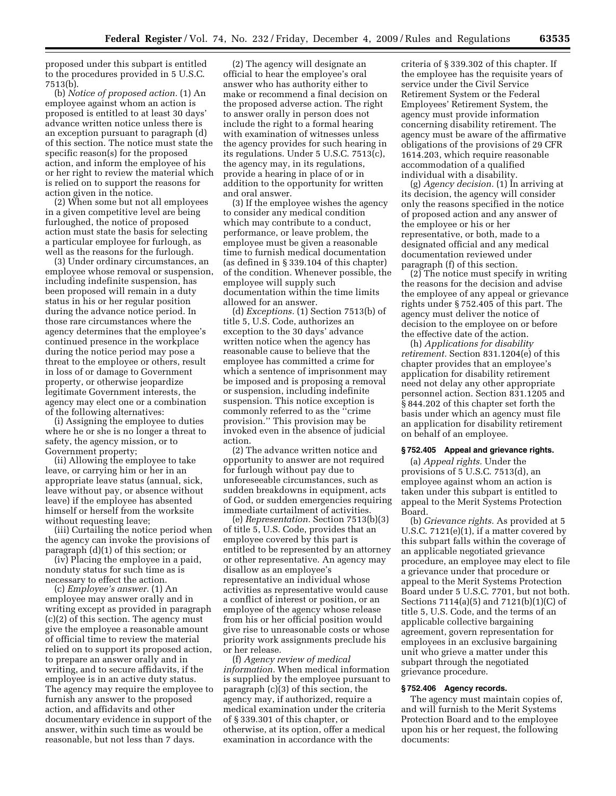proposed under this subpart is entitled to the procedures provided in 5 U.S.C. 7513(b).

(b) *Notice of proposed action.* (1) An employee against whom an action is proposed is entitled to at least 30 days' advance written notice unless there is an exception pursuant to paragraph (d) of this section. The notice must state the specific reason(s) for the proposed action, and inform the employee of his or her right to review the material which is relied on to support the reasons for action given in the notice.

(2) When some but not all employees in a given competitive level are being furloughed, the notice of proposed action must state the basis for selecting a particular employee for furlough, as well as the reasons for the furlough.

(3) Under ordinary circumstances, an employee whose removal or suspension, including indefinite suspension, has been proposed will remain in a duty status in his or her regular position during the advance notice period. In those rare circumstances where the agency determines that the employee's continued presence in the workplace during the notice period may pose a threat to the employee or others, result in loss of or damage to Government property, or otherwise jeopardize legitimate Government interests, the agency may elect one or a combination of the following alternatives:

(i) Assigning the employee to duties where he or she is no longer a threat to safety, the agency mission, or to Government property;

(ii) Allowing the employee to take leave, or carrying him or her in an appropriate leave status (annual, sick, leave without pay, or absence without leave) if the employee has absented himself or herself from the worksite without requesting leave;

(iii) Curtailing the notice period when the agency can invoke the provisions of paragraph (d)(1) of this section; or

(iv) Placing the employee in a paid, nonduty status for such time as is necessary to effect the action.

(c) *Employee's answer.* (1) An employee may answer orally and in writing except as provided in paragraph (c)(2) of this section. The agency must give the employee a reasonable amount of official time to review the material relied on to support its proposed action, to prepare an answer orally and in writing, and to secure affidavits, if the employee is in an active duty status. The agency may require the employee to furnish any answer to the proposed action, and affidavits and other documentary evidence in support of the answer, within such time as would be reasonable, but not less than 7 days.

(2) The agency will designate an official to hear the employee's oral answer who has authority either to make or recommend a final decision on the proposed adverse action. The right to answer orally in person does not include the right to a formal hearing with examination of witnesses unless the agency provides for such hearing in its regulations. Under 5 U.S.C. 7513(c), the agency may, in its regulations, provide a hearing in place of or in addition to the opportunity for written and oral answer.

(3) If the employee wishes the agency to consider any medical condition which may contribute to a conduct, performance, or leave problem, the employee must be given a reasonable time to furnish medical documentation (as defined in § 339.104 of this chapter) of the condition. Whenever possible, the employee will supply such documentation within the time limits allowed for an answer.

(d) *Exceptions.* (1) Section 7513(b) of title 5, U.S. Code, authorizes an exception to the 30 days' advance written notice when the agency has reasonable cause to believe that the employee has committed a crime for which a sentence of imprisonment may be imposed and is proposing a removal or suspension, including indefinite suspension. This notice exception is commonly referred to as the ''crime provision.'' This provision may be invoked even in the absence of judicial action.

(2) The advance written notice and opportunity to answer are not required for furlough without pay due to unforeseeable circumstances, such as sudden breakdowns in equipment, acts of God, or sudden emergencies requiring immediate curtailment of activities.

(e) *Representation.* Section 7513(b)(3) of title 5, U.S. Code, provides that an employee covered by this part is entitled to be represented by an attorney or other representative. An agency may disallow as an employee's representative an individual whose activities as representative would cause a conflict of interest or position, or an employee of the agency whose release from his or her official position would give rise to unreasonable costs or whose priority work assignments preclude his or her release.

(f) *Agency review of medical information.* When medical information is supplied by the employee pursuant to paragraph (c)(3) of this section, the agency may, if authorized, require a medical examination under the criteria of § 339.301 of this chapter, or otherwise, at its option, offer a medical examination in accordance with the

criteria of § 339.302 of this chapter. If the employee has the requisite years of service under the Civil Service Retirement System or the Federal Employees' Retirement System, the agency must provide information concerning disability retirement. The agency must be aware of the affirmative obligations of the provisions of 29 CFR 1614.203, which require reasonable accommodation of a qualified individual with a disability.

(g) *Agency decision.* (1) In arriving at its decision, the agency will consider only the reasons specified in the notice of proposed action and any answer of the employee or his or her representative, or both, made to a designated official and any medical documentation reviewed under paragraph (f) of this section.

(2) The notice must specify in writing the reasons for the decision and advise the employee of any appeal or grievance rights under § 752.405 of this part. The agency must deliver the notice of decision to the employee on or before the effective date of the action.

(h) *Applications for disability retirement.* Section 831.1204(e) of this chapter provides that an employee's application for disability retirement need not delay any other appropriate personnel action. Section 831.1205 and § 844.202 of this chapter set forth the basis under which an agency must file an application for disability retirement on behalf of an employee.

#### **§ 752.405 Appeal and grievance rights.**

(a) *Appeal rights.* Under the provisions of 5 U.S.C. 7513(d), an employee against whom an action is taken under this subpart is entitled to appeal to the Merit Systems Protection Board.

(b) *Grievance rights.* As provided at 5 U.S.C. 7121(e)(1), if a matter covered by this subpart falls within the coverage of an applicable negotiated grievance procedure, an employee may elect to file a grievance under that procedure or appeal to the Merit Systems Protection Board under 5 U.S.C. 7701, but not both. Sections 7114(a)(5) and 7121(b)(1)(C) of title 5, U.S. Code, and the terms of an applicable collective bargaining agreement, govern representation for employees in an exclusive bargaining unit who grieve a matter under this subpart through the negotiated grievance procedure.

#### **§ 752.406 Agency records.**

The agency must maintain copies of, and will furnish to the Merit Systems Protection Board and to the employee upon his or her request, the following documents: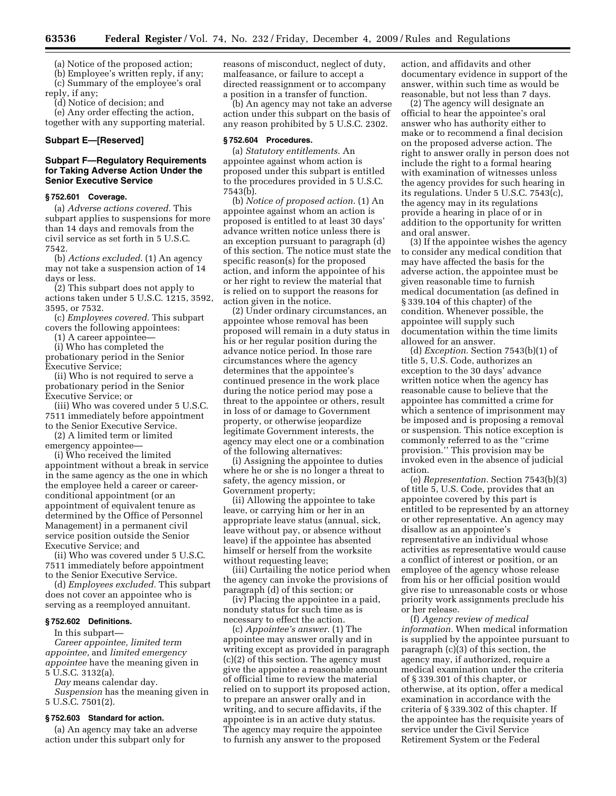(a) Notice of the proposed action;

(b) Employee's written reply, if any; (c) Summary of the employee's oral reply, if any;

(d) Notice of decision; and

(e) Any order effecting the action, together with any supporting material.

# **Subpart E—[Reserved]**

# **Subpart F—Regulatory Requirements for Taking Adverse Action Under the Senior Executive Service**

#### **§ 752.601 Coverage.**

(a) *Adverse actions covered.* This subpart applies to suspensions for more than 14 days and removals from the civil service as set forth in 5 U.S.C. 7542.

(b) *Actions excluded.* (1) An agency may not take a suspension action of 14 days or less.

(2) This subpart does not apply to actions taken under 5 U.S.C. 1215, 3592, 3595, or 7532.

(c) *Employees covered.* This subpart covers the following appointees:

(1) A career appointee—

(i) Who has completed the

probationary period in the Senior Executive Service;

(ii) Who is not required to serve a probationary period in the Senior Executive Service; or

(iii) Who was covered under 5 U.S.C. 7511 immediately before appointment to the Senior Executive Service.

(2) A limited term or limited

emergency appointee—

(i) Who received the limited appointment without a break in service in the same agency as the one in which the employee held a career or careerconditional appointment (or an appointment of equivalent tenure as determined by the Office of Personnel Management) in a permanent civil service position outside the Senior Executive Service; and

(ii) Who was covered under 5 U.S.C. 7511 immediately before appointment to the Senior Executive Service.

(d) *Employees excluded.* This subpart does not cover an appointee who is serving as a reemployed annuitant.

#### **§ 752.602 Definitions.**

In this subpart—

*Career appointee, limited term appointee,* and *limited emergency appointee* have the meaning given in 5 U.S.C. 3132(a).

*Day* means calendar day.

*Suspension* has the meaning given in 5 U.S.C. 7501(2).

#### **§ 752.603 Standard for action.**

(a) An agency may take an adverse action under this subpart only for

reasons of misconduct, neglect of duty, malfeasance, or failure to accept a directed reassignment or to accompany a position in a transfer of function.

(b) An agency may not take an adverse action under this subpart on the basis of any reason prohibited by 5 U.S.C. 2302.

#### **§ 752.604 Procedures.**

(a) *Statutory entitlements.* An appointee against whom action is proposed under this subpart is entitled to the procedures provided in 5 U.S.C. 7543(b).

(b) *Notice of proposed action.* (1) An appointee against whom an action is proposed is entitled to at least 30 days' advance written notice unless there is an exception pursuant to paragraph (d) of this section. The notice must state the specific reason(s) for the proposed action, and inform the appointee of his or her right to review the material that is relied on to support the reasons for action given in the notice.

(2) Under ordinary circumstances, an appointee whose removal has been proposed will remain in a duty status in his or her regular position during the advance notice period. In those rare circumstances where the agency determines that the appointee's continued presence in the work place during the notice period may pose a threat to the appointee or others, result in loss of or damage to Government property, or otherwise jeopardize legitimate Government interests, the agency may elect one or a combination of the following alternatives:

(i) Assigning the appointee to duties where he or she is no longer a threat to safety, the agency mission, or Government property;

(ii) Allowing the appointee to take leave, or carrying him or her in an appropriate leave status (annual, sick, leave without pay, or absence without leave) if the appointee has absented himself or herself from the worksite without requesting leave;

(iii) Curtailing the notice period when the agency can invoke the provisions of paragraph (d) of this section; or

(iv) Placing the appointee in a paid, nonduty status for such time as is necessary to effect the action.

(c) *Appointee's answer.* (1) The appointee may answer orally and in writing except as provided in paragraph (c)(2) of this section. The agency must give the appointee a reasonable amount of official time to review the material relied on to support its proposed action, to prepare an answer orally and in writing, and to secure affidavits, if the appointee is in an active duty status. The agency may require the appointee to furnish any answer to the proposed

action, and affidavits and other documentary evidence in support of the answer, within such time as would be reasonable, but not less than 7 days.

(2) The agency will designate an official to hear the appointee's oral answer who has authority either to make or to recommend a final decision on the proposed adverse action. The right to answer orally in person does not include the right to a formal hearing with examination of witnesses unless the agency provides for such hearing in its regulations. Under 5 U.S.C. 7543(c), the agency may in its regulations provide a hearing in place of or in addition to the opportunity for written and oral answer.

(3) If the appointee wishes the agency to consider any medical condition that may have affected the basis for the adverse action, the appointee must be given reasonable time to furnish medical documentation (as defined in § 339.104 of this chapter) of the condition. Whenever possible, the appointee will supply such documentation within the time limits allowed for an answer.

(d) *Exception.* Section 7543(b)(1) of title 5, U.S. Code, authorizes an exception to the 30 days' advance written notice when the agency has reasonable cause to believe that the appointee has committed a crime for which a sentence of imprisonment may be imposed and is proposing a removal or suspension. This notice exception is commonly referred to as the ''crime provision.'' This provision may be invoked even in the absence of judicial action.

(e) *Representation.* Section 7543(b)(3) of title 5, U.S. Code, provides that an appointee covered by this part is entitled to be represented by an attorney or other representative. An agency may disallow as an appointee's representative an individual whose activities as representative would cause a conflict of interest or position, or an employee of the agency whose release from his or her official position would give rise to unreasonable costs or whose priority work assignments preclude his or her release.

(f) *Agency review of medical information.* When medical information is supplied by the appointee pursuant to paragraph (c)(3) of this section, the agency may, if authorized, require a medical examination under the criteria of § 339.301 of this chapter, or otherwise, at its option, offer a medical examination in accordance with the criteria of § 339.302 of this chapter. If the appointee has the requisite years of service under the Civil Service Retirement System or the Federal